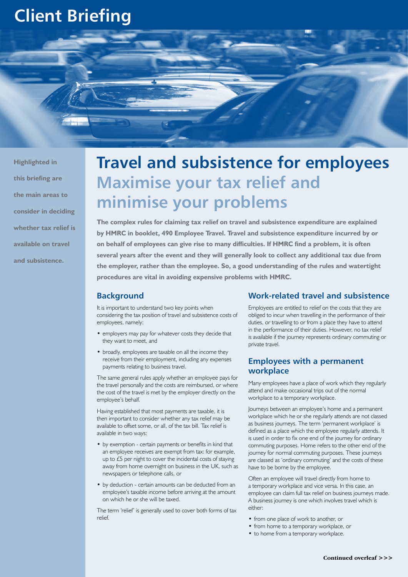# **Client Briefing**



**Highlighted in this briefing are the main areas to consider in deciding whether tax relief is available on travel and subsistence.**

# **Travel and subsistence for employees Maximise your tax relief and minimise your problems**

**The complex rules for claiming tax relief on travel and subsistence expenditure are explained by HMRC in booklet, 490 Employee Travel. Travel and subsistence expenditure incurred by or on behalf of employees can give rise to many difficulties. If HMRC find a problem, it is often several years after the event and they will generally look to collect any additional tax due from the employer, rather than the employee. So, a good understanding of the rules and watertight procedures are vital in avoiding expensive problems with HMRC.**

# **Background**

It is important to understand two key points when considering the tax position of travel and subsistence costs of employees, namely:

- employers may pay for whatever costs they decide that they want to meet, and
- broadly, employees are taxable on all the income they receive from their employment, including any expenses payments relating to business travel.

The same general rules apply whether an employee pays for the travel personally and the costs are reimbursed, or where the cost of the travel is met by the employer directly on the employee's behalf.

Having established that most payments are taxable, it is then important to consider whether any tax relief may be available to offset some, or all, of the tax bill. Tax relief is available in two ways:

- by exemption certain payments or benefits in kind that an employee receives are exempt from tax: for example, up to £5 per night to cover the incidental costs of staying away from home overnight on business in the UK, such as newspapers or telephone calls, or
- by deduction certain amounts can be deducted from an employee's taxable income before arriving at the amount on which he or she will be taxed.

The term 'relief' is generally used to cover both forms of tax relief.

# **Work-related travel and subsistence**

Employees are entitled to relief on the costs that they are obliged to incur when travelling in the performance of their duties, or travelling to or from a place they have to attend in the performance of their duties. However, no tax relief is available if the journey represents ordinary commuting or private travel.

# **Employees with a permanent workplace**

Many employees have a place of work which they regularly attend and make occasional trips out of the normal workplace to a temporary workplace.

Journeys between an employee's home and a permanent workplace which he or she regularly attends are not classed as business journeys. The term 'permanent workplace' is defined as a place which the employee regularly attends. It is used in order to fix one end of the journey for ordinary commuting purposes. Home refers to the other end of the journey for normal commuting purposes. These journeys are classed as 'ordinary commuting' and the costs of these have to be borne by the employee.

Often an employee will travel directly from home to a temporary workplace and vice versa. In this case, an employee can claim full tax relief on business journeys made. A business journey is one which involves travel which is either:

- from one place of work to another, or
- from home to a temporary workplace, or
- to home from a temporary workplace.